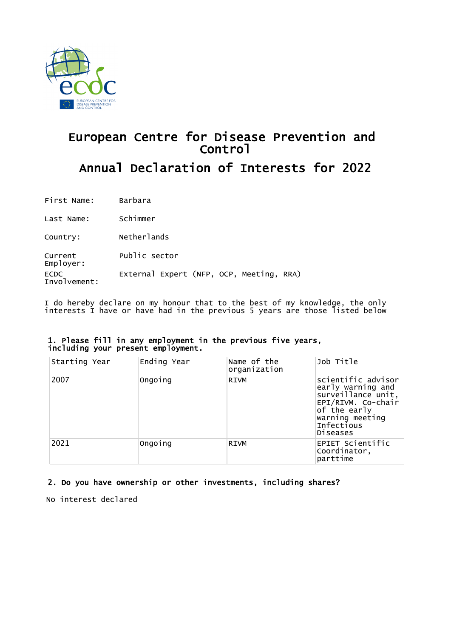

# European Centre for Disease Prevention and Control Annual Declaration of Interests for 2022

First Name: Barbara

Last Name: Schimmer

Country: Netherlands

Current Public sector

Employer: ECDC Involvement: External Expert (NFP, OCP, Meeting, RRA)

I do hereby declare on my honour that to the best of my knowledge, the only interests I have or have had in the previous 5 years are those listed below

### 1. Please fill in any employment in the previous five years, including your present employment.

| Starting Year | Ending Year | Name of the<br>organization | Job Title                                                                                                                                               |
|---------------|-------------|-----------------------------|---------------------------------------------------------------------------------------------------------------------------------------------------------|
| 2007          | Ongoing     | <b>RIVM</b>                 | scientific advisor<br>early warning and<br>surveillance unit,<br>EPI/RIVM. Co-chair<br>of the early<br>warning meeting<br>Infectious<br><b>Diseases</b> |
| 2021          | Ongoing     | <b>RIVM</b>                 | EPIET Scientific<br>Coordinator,<br>parttime                                                                                                            |

# 2. Do you have ownership or other investments, including shares?

No interest declared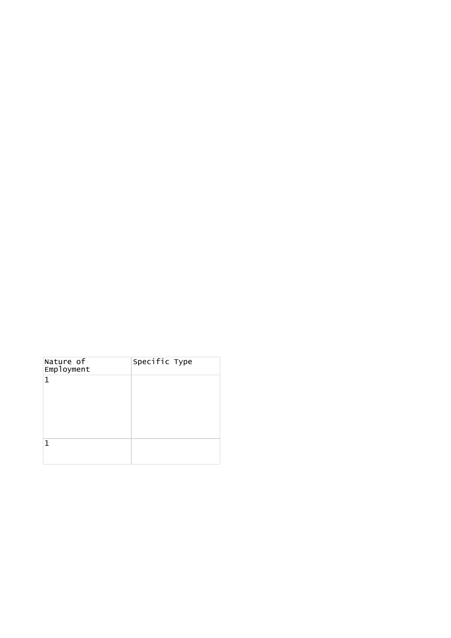| Nature of<br>Employment | Specific Type |  |
|-------------------------|---------------|--|
| 1                       |               |  |
|                         |               |  |
| 1                       |               |  |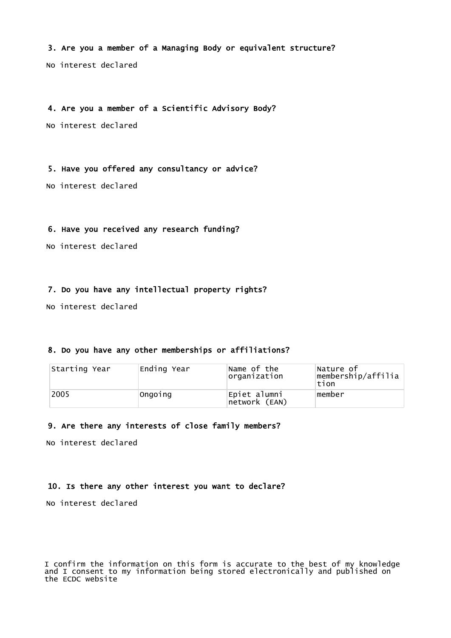3. Are you a member of a Managing Body or equivalent structure?

No interest declared

4. Are you a member of a Scientific Advisory Body?

No interest declared

5. Have you offered any consultancy or advice?

No interest declared

# 6. Have you received any research funding?

No interest declared

## 7. Do you have any intellectual property rights?

No interest declared

## 8. Do you have any other memberships or affiliations?

| Starting Year | Ending Year | Name of the<br>organization   | Nature of<br>membership/affilia<br>tion |
|---------------|-------------|-------------------------------|-----------------------------------------|
| 2005          | Ongoing     | Epiet alumni<br>network (EAN) | member                                  |

#### 9. Are there any interests of close family members?

No interest declared

#### 10. Is there any other interest you want to declare?

No interest declared

I confirm the information on this form is accurate to the best of my knowledge and I consent to my information being stored electronically and published on the ECDC website